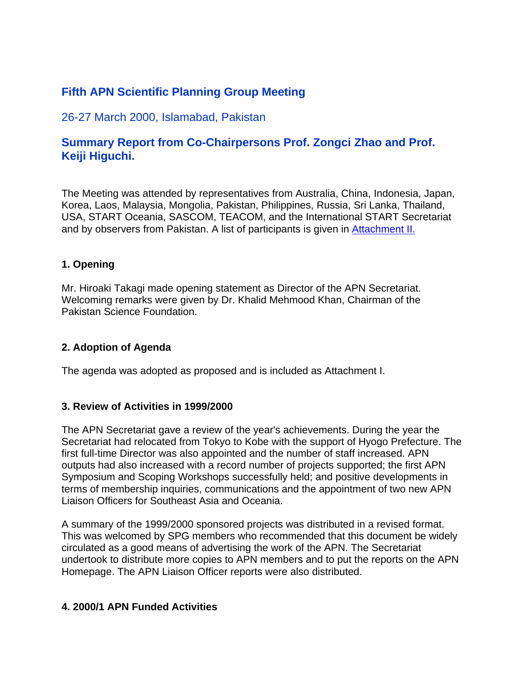# **Fifth APN Scientific Planning Group Meeting**

# 26-27 March 2000, Islamabad, Pakistan

# **Summary Report from Co-Chairpersons Prof. Zongci Zhao and Prof. Keiji Higuchi.**

The Meeting was attended by representatives from Australia, China, Indonesia, Japan, Korea, Laos, Malaysia, Mongolia, Pakistan, Philippines, Russia, Sri Lanka, Thailand, USA, START Oceania, SASCOM, TEACOM, and the International START Secretariat and by observers from Pakistan. A list of participants is given in Attachment II.

# **1. Opening**

Mr. Hiroaki Takagi made opening statement as Director of the APN Secretariat. Welcoming remarks were given by Dr. Khalid Mehmood Khan, Chairman of the Pakistan Science Foundation.

# **2. Adoption of Agenda**

The agenda was adopted as proposed and is included as Attachment I.

# **3. Review of Activities in 1999/2000**

The APN Secretariat gave a review of the year's achievements. During the year the Secretariat had relocated from Tokyo to Kobe with the support of Hyogo Prefecture. The first full-time Director was also appointed and the number of staff increased. APN outputs had also increased with a record number of projects supported; the first APN Symposium and Scoping Workshops successfully held; and positive developments in terms of membership inquiries, communications and the appointment of two new APN Liaison Officers for Southeast Asia and Oceania.

A summary of the 1999/2000 sponsored projects was distributed in a revised format. This was welcomed by SPG members who recommended that this document be widely circulated as a good means of advertising the work of the APN. The Secretariat undertook to distribute more copies to APN members and to put the reports on the APN Homepage. The APN Liaison Officer reports were also distributed.

# **4. 2000/1 APN Funded Activities**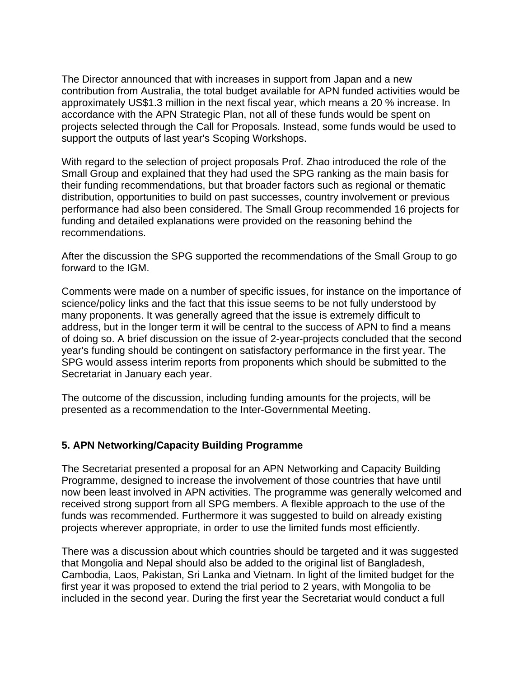The Director announced that with increases in support from Japan and a new contribution from Australia, the total budget available for APN funded activities would be approximately US\$1.3 million in the next fiscal year, which means a 20 % increase. In accordance with the APN Strategic Plan, not all of these funds would be spent on projects selected through the Call for Proposals. Instead, some funds would be used to support the outputs of last year's Scoping Workshops.

With regard to the selection of project proposals Prof. Zhao introduced the role of the Small Group and explained that they had used the SPG ranking as the main basis for their funding recommendations, but that broader factors such as regional or thematic distribution, opportunities to build on past successes, country involvement or previous performance had also been considered. The Small Group recommended 16 projects for funding and detailed explanations were provided on the reasoning behind the recommendations.

After the discussion the SPG supported the recommendations of the Small Group to go forward to the IGM.

Comments were made on a number of specific issues, for instance on the importance of science/policy links and the fact that this issue seems to be not fully understood by many proponents. It was generally agreed that the issue is extremely difficult to address, but in the longer term it will be central to the success of APN to find a means of doing so. A brief discussion on the issue of 2-year-projects concluded that the second year's funding should be contingent on satisfactory performance in the first year. The SPG would assess interim reports from proponents which should be submitted to the Secretariat in January each year.

The outcome of the discussion, including funding amounts for the projects, will be presented as a recommendation to the Inter-Governmental Meeting.

# **5. APN Networking/Capacity Building Programme**

The Secretariat presented a proposal for an APN Networking and Capacity Building Programme, designed to increase the involvement of those countries that have until now been least involved in APN activities. The programme was generally welcomed and received strong support from all SPG members. A flexible approach to the use of the funds was recommended. Furthermore it was suggested to build on already existing projects wherever appropriate, in order to use the limited funds most efficiently.

There was a discussion about which countries should be targeted and it was suggested that Mongolia and Nepal should also be added to the original list of Bangladesh, Cambodia, Laos, Pakistan, Sri Lanka and Vietnam. In light of the limited budget for the first year it was proposed to extend the trial period to 2 years, with Mongolia to be included in the second year. During the first year the Secretariat would conduct a full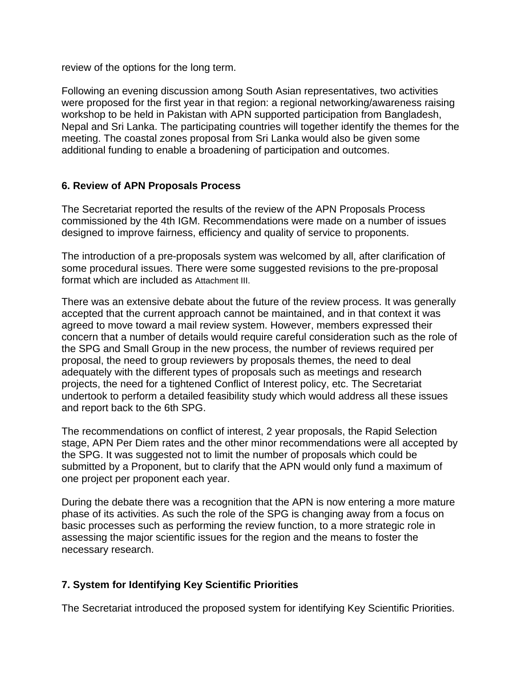review of the options for the long term.

Following an evening discussion among South Asian representatives, two activities were proposed for the first year in that region: a regional networking/awareness raising workshop to be held in Pakistan with APN supported participation from Bangladesh, Nepal and Sri Lanka. The participating countries will together identify the themes for the meeting. The coastal zones proposal from Sri Lanka would also be given some additional funding to enable a broadening of participation and outcomes.

# **6. Review of APN Proposals Process**

The Secretariat reported the results of the review of the APN Proposals Process commissioned by the 4th IGM. Recommendations were made on a number of issues designed to improve fairness, efficiency and quality of service to proponents.

The introduction of a pre-proposals system was welcomed by all, after clarification of some procedural issues. There were some suggested revisions to the pre-proposal format which are included as Attachment III.

There was an extensive debate about the future of the review process. It was generally accepted that the current approach cannot be maintained, and in that context it was agreed to move toward a mail review system. However, members expressed their concern that a number of details would require careful consideration such as the role of the SPG and Small Group in the new process, the number of reviews required per proposal, the need to group reviewers by proposals themes, the need to deal adequately with the different types of proposals such as meetings and research projects, the need for a tightened Conflict of Interest policy, etc. The Secretariat undertook to perform a detailed feasibility study which would address all these issues and report back to the 6th SPG.

The recommendations on conflict of interest, 2 year proposals, the Rapid Selection stage, APN Per Diem rates and the other minor recommendations were all accepted by the SPG. It was suggested not to limit the number of proposals which could be submitted by a Proponent, but to clarify that the APN would only fund a maximum of one project per proponent each year.

During the debate there was a recognition that the APN is now entering a more mature phase of its activities. As such the role of the SPG is changing away from a focus on basic processes such as performing the review function, to a more strategic role in assessing the major scientific issues for the region and the means to foster the necessary research.

# **7. System for Identifying Key Scientific Priorities**

The Secretariat introduced the proposed system for identifying Key Scientific Priorities.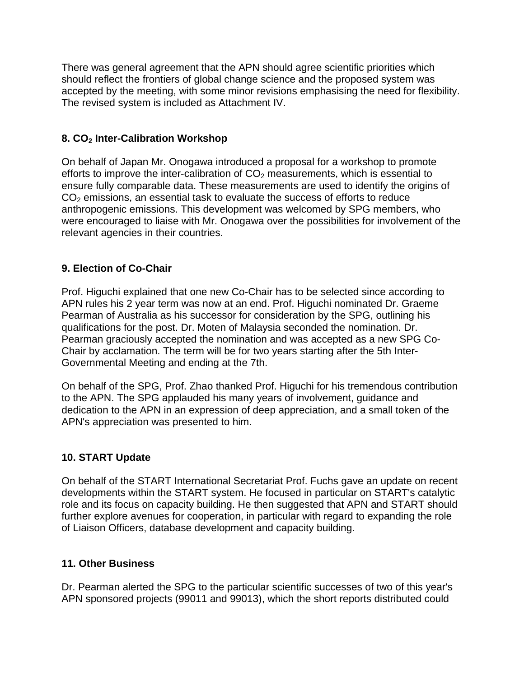There was general agreement that the APN should agree scientific priorities which should reflect the frontiers of global change science and the proposed system was accepted by the meeting, with some minor revisions emphasising the need for flexibility. The revised system is included as Attachment IV.

# **8. CO2 Inter-Calibration Workshop**

On behalf of Japan Mr. Onogawa introduced a proposal for a workshop to promote efforts to improve the inter-calibration of  $CO<sub>2</sub>$  measurements, which is essential to ensure fully comparable data. These measurements are used to identify the origins of CO2 emissions, an essential task to evaluate the success of efforts to reduce anthropogenic emissions. This development was welcomed by SPG members, who were encouraged to liaise with Mr. Onogawa over the possibilities for involvement of the relevant agencies in their countries.

# **9. Election of Co-Chair**

Prof. Higuchi explained that one new Co-Chair has to be selected since according to APN rules his 2 year term was now at an end. Prof. Higuchi nominated Dr. Graeme Pearman of Australia as his successor for consideration by the SPG, outlining his qualifications for the post. Dr. Moten of Malaysia seconded the nomination. Dr. Pearman graciously accepted the nomination and was accepted as a new SPG Co-Chair by acclamation. The term will be for two years starting after the 5th Inter-Governmental Meeting and ending at the 7th.

On behalf of the SPG, Prof. Zhao thanked Prof. Higuchi for his tremendous contribution to the APN. The SPG applauded his many years of involvement, guidance and dedication to the APN in an expression of deep appreciation, and a small token of the APN's appreciation was presented to him.

# **10. START Update**

On behalf of the START International Secretariat Prof. Fuchs gave an update on recent developments within the START system. He focused in particular on START's catalytic role and its focus on capacity building. He then suggested that APN and START should further explore avenues for cooperation, in particular with regard to expanding the role of Liaison Officers, database development and capacity building.

# **11. Other Business**

Dr. Pearman alerted the SPG to the particular scientific successes of two of this year's APN sponsored projects (99011 and 99013), which the short reports distributed could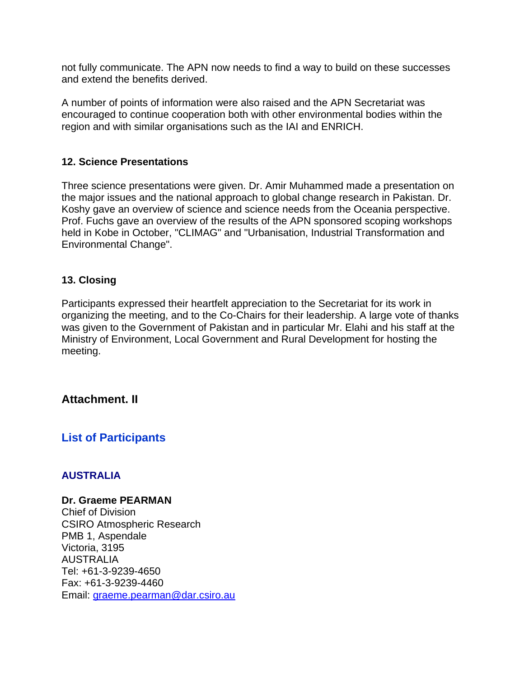not fully communicate. The APN now needs to find a way to build on these successes and extend the benefits derived.

A number of points of information were also raised and the APN Secretariat was encouraged to continue cooperation both with other environmental bodies within the region and with similar organisations such as the IAI and ENRICH.

# **12. Science Presentations**

Three science presentations were given. Dr. Amir Muhammed made a presentation on the major issues and the national approach to global change research in Pakistan. Dr. Koshy gave an overview of science and science needs from the Oceania perspective. Prof. Fuchs gave an overview of the results of the APN sponsored scoping workshops held in Kobe in October, "CLIMAG" and "Urbanisation, Industrial Transformation and Environmental Change".

# **13. Closing**

Participants expressed their heartfelt appreciation to the Secretariat for its work in organizing the meeting, and to the Co-Chairs for their leadership. A large vote of thanks was given to the Government of Pakistan and in particular Mr. Elahi and his staff at the Ministry of Environment, Local Government and Rural Development for hosting the meeting.

# **Attachment. II**

# **List of Participants**

# **AUSTRALIA**

### **Dr. Graeme PEARMAN**

Chief of Division CSIRO Atmospheric Research PMB 1, Aspendale Victoria, 3195 AUSTRALIA Tel: +61-3-9239-4650 Fax: +61-3-9239-4460 Email: graeme.pearman@dar.csiro.au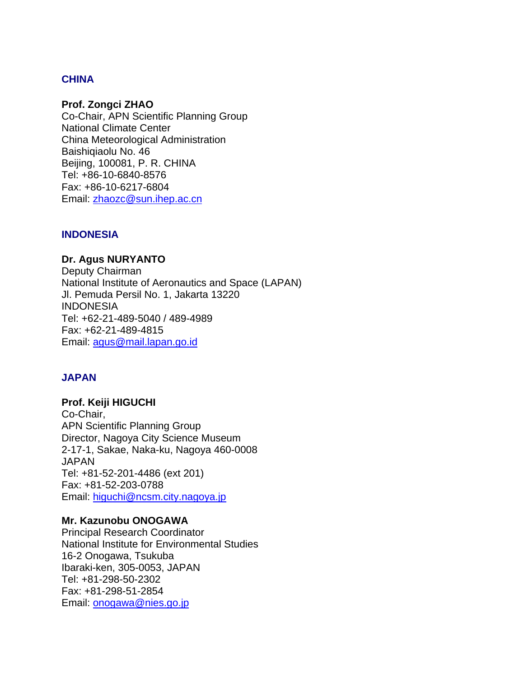# **CHINA**

### **Prof. Zongci ZHAO**

Co-Chair, APN Scientific Planning Group National Climate Center China Meteorological Administration Baishiqiaolu No. 46 Beijing, 100081, P. R. CHINA Tel: +86-10-6840-8576 Fax: +86-10-6217-6804 Email: zhaozc@sun.ihep.ac.cn

### **INDONESIA**

### **Dr. Agus NURYANTO**

Deputy Chairman National Institute of Aeronautics and Space (LAPAN) Jl. Pemuda Persil No. 1, Jakarta 13220 INDONESIA Tel: +62-21-489-5040 / 489-4989 Fax: +62-21-489-4815 Email: agus@mail.lapan.go.id

# **JAPAN**

## **Prof. Keiji HIGUCHI** Co-Chair, APN Scientific Planning Group Director, Nagoya City Science Museum 2-17-1, Sakae, Naka-ku, Nagoya 460-0008 JAPAN Tel: +81-52-201-4486 (ext 201) Fax: +81-52-203-0788 Email: higuchi@ncsm.city.nagoya.jp

### **Mr. Kazunobu ONOGAWA**

Principal Research Coordinator National Institute for Environmental Studies 16-2 Onogawa, Tsukuba Ibaraki-ken, 305-0053, JAPAN Tel: +81-298-50-2302 Fax: +81-298-51-2854 Email: onogawa@nies.go.jp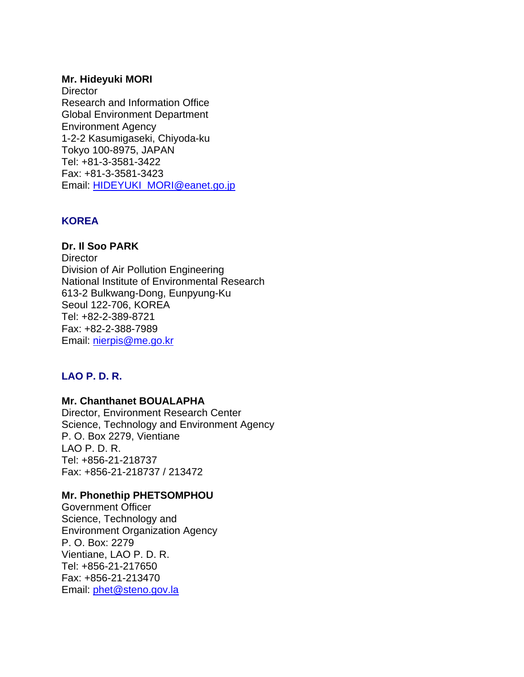### **Mr. Hideyuki MORI**

**Director** Research and Information Office Global Environment Department Environment Agency 1-2-2 Kasumigaseki, Chiyoda-ku Tokyo 100-8975, JAPAN Tel: +81-3-3581-3422 Fax: +81-3-3581-3423 Email: HIDEYUKI\_MORI@eanet.go.jp

# **KOREA**

**Dr. Il Soo PARK Director** Division of Air Pollution Engineering National Institute of Environmental Research 613-2 Bulkwang-Dong, Eunpyung-Ku Seoul 122-706, KOREA Tel: +82-2-389-8721 Fax: +82-2-388-7989 Email: nierpis@me.go.kr

# **LAO P. D. R.**

# **Mr. Chanthanet BOUALAPHA**

Director, Environment Research Center Science, Technology and Environment Agency P. O. Box 2279, Vientiane LAO P. D. R. Tel: +856-21-218737 Fax: +856-21-218737 / 213472

# **Mr. Phonethip PHETSOMPHOU**

Government Officer Science, Technology and Environment Organization Agency P. O. Box: 2279 Vientiane, LAO P. D. R. Tel: +856-21-217650 Fax: +856-21-213470 Email: phet@steno.gov.la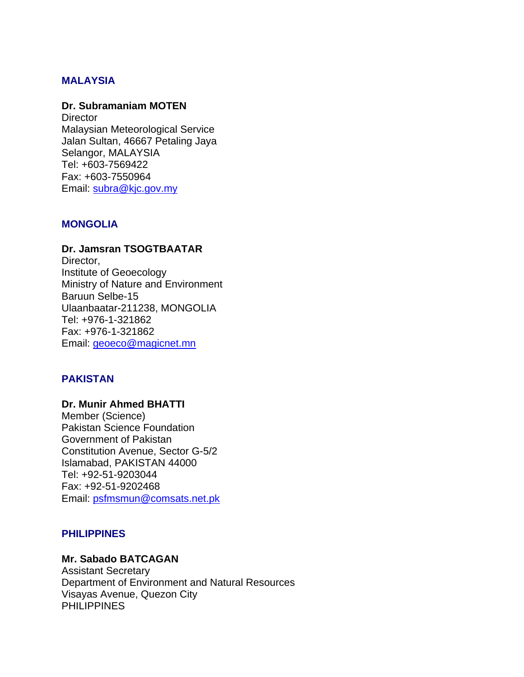## **MALAYSIA**

#### **Dr. Subramaniam MOTEN**

**Director** Malaysian Meteorological Service Jalan Sultan, 46667 Petaling Jaya Selangor, MALAYSIA Tel: +603-7569422 Fax: +603-7550964 Email: subra@kjc.gov.my

### **MONGOLIA**

## **Dr. Jamsran TSOGTBAATAR** Director, Institute of Geoecology Ministry of Nature and Environment Baruun Selbe-15 Ulaanbaatar-211238, MONGOLIA Tel: +976-1-321862 Fax: +976-1-321862 Email: geoeco@magicnet.mn

### **PAKISTAN**

### **Dr. Munir Ahmed BHATTI**  Member (Science) Pakistan Science Foundation Government of Pakistan Constitution Avenue, Sector G-5/2 Islamabad, PAKISTAN 44000 Tel: +92-51-9203044 Fax: +92-51-9202468 Email: psfmsmun@comsats.net.pk

### **PHILIPPINES**

### **Mr. Sabado BATCAGAN**

Assistant Secretary Department of Environment and Natural Resources Visayas Avenue, Quezon City PHILIPPINES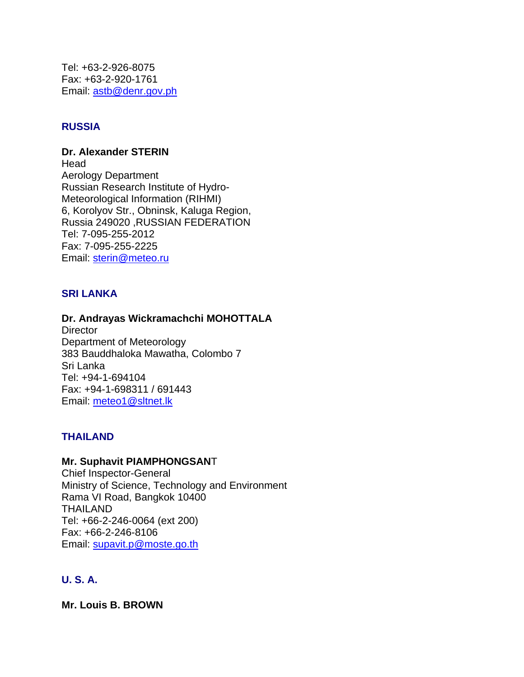Tel: +63-2-926-8075 Fax: +63-2-920-1761 Email: astb@denr.gov.ph

# **RUSSIA**

### **Dr. Alexander STERIN**

Head Aerology Department Russian Research Institute of Hydro-Meteorological Information (RIHMI) 6, Korolyov Str., Obninsk, Kaluga Region, Russia 249020 ,RUSSIAN FEDERATION Tel: 7-095-255-2012 Fax: 7-095-255-2225 Email: sterin@meteo.ru

# **SRI LANKA**

### **Dr. Andrayas Wickramachchi MOHOTTALA**

**Director** Department of Meteorology 383 Bauddhaloka Mawatha, Colombo 7 Sri Lanka Tel: +94-1-694104 Fax: +94-1-698311 / 691443 Email: meteo1@sltnet.lk

# **THAILAND**

## **Mr. Suphavit PIAMPHONGSAN**T

Chief Inspector-General Ministry of Science, Technology and Environment Rama VI Road, Bangkok 10400 THAILAND Tel: +66-2-246-0064 (ext 200) Fax: +66-2-246-8106 Email: supavit.p@moste.go.th

# **U. S. A.**

**Mr. Louis B. BROWN**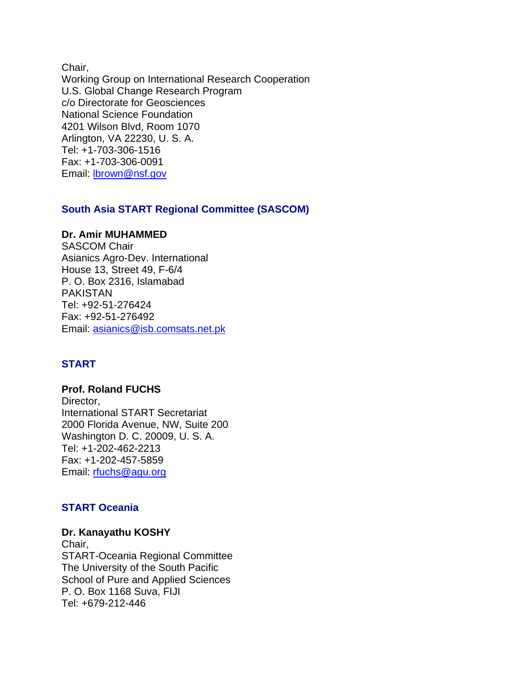Chair, Working Group on International Research Cooperation U.S. Global Change Research Program c/o Directorate for Geosciences National Science Foundation 4201 Wilson Blvd, Room 1070 Arlington, VA 22230, U. S. A. Tel: +1-703-306-1516 Fax: +1-703-306-0091 Email: lbrown@nsf.gov

### **South Asia START Regional Committee (SASCOM)**

### **Dr. Amir MUHAMMED**

SASCOM Chair Asianics Agro-Dev. International House 13, Street 49, F-6/4 P. O. Box 2316, Islamabad PAKISTAN Tel: +92-51-276424 Fax: +92-51-276492 Email: asianics@isb.comsats.net.pk

# **START**

**Prof. Roland FUCHS**  Director, International START Secretariat 2000 Florida Avenue, NW, Suite 200 Washington D. C. 20009, U. S. A. Tel: +1-202-462-2213 Fax: +1-202-457-5859 Email: rfuchs@agu.org

# **START Oceania**

#### **Dr. Kanayathu KOSHY**

Chair, START-Oceania Regional Committee The University of the South Pacific School of Pure and Applied Sciences P. O. Box 1168 Suva, FIJI Tel: +679-212-446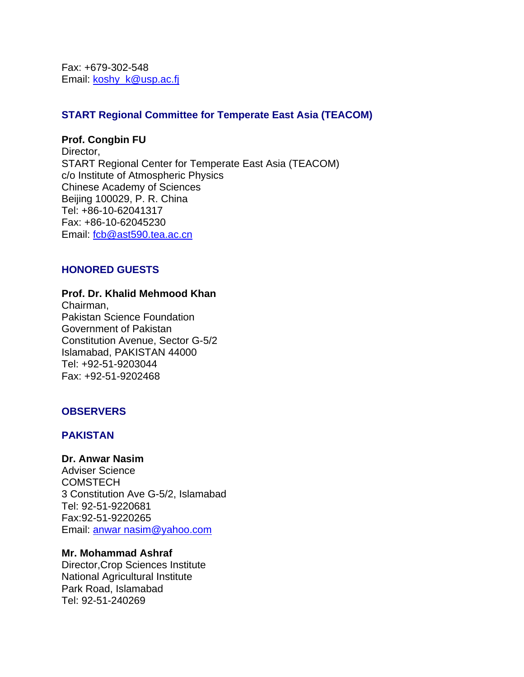Fax: +679-302-548 Email: koshy\_k@usp.ac.fj

# **START Regional Committee for Temperate East Asia (TEACOM)**

#### **Prof. Congbin FU**

Director, START Regional Center for Temperate East Asia (TEACOM) c/o Institute of Atmospheric Physics Chinese Academy of Sciences Beijing 100029, P. R. China Tel: +86-10-62041317 Fax: +86-10-62045230 Email: fcb@ast590.tea.ac.cn

# **HONORED GUESTS**

#### **Prof. Dr. Khalid Mehmood Khan**

Chairman, Pakistan Science Foundation Government of Pakistan Constitution Avenue, Sector G-5/2 Islamabad, PAKISTAN 44000 Tel: +92-51-9203044 Fax: +92-51-9202468

### **OBSERVERS**

### **PAKISTAN**

#### **Dr. Anwar Nasim**

Adviser Science **COMSTECH** 3 Constitution Ave G-5/2, Islamabad Tel: 92-51-9220681 Fax:92-51-9220265 Email: anwar nasim@yahoo.com

### **Mr. Mohammad Ashraf**

Director,Crop Sciences Institute National Agricultural Institute Park Road, Islamabad Tel: 92-51-240269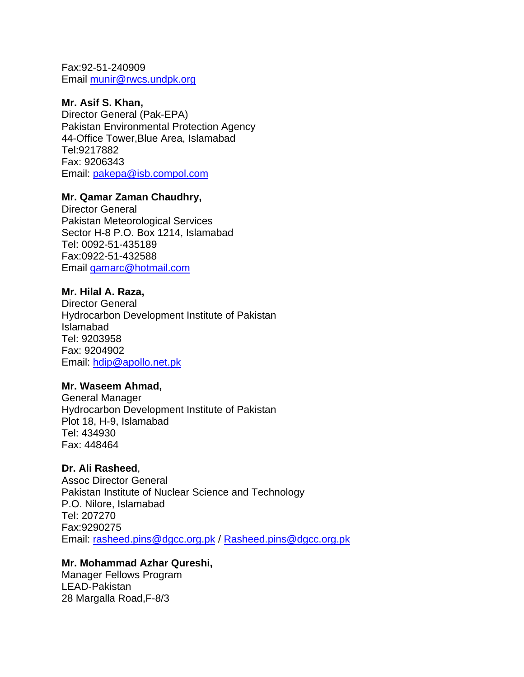Fax:92-51-240909 Email munir@rwcs.undpk.org

## **Mr. Asif S. Khan,**

Director General (Pak-EPA) Pakistan Environmental Protection Agency 44-Office Tower,Blue Area, Islamabad Tel:9217882 Fax: 9206343 Email: pakepa@isb.compol.com

# **Mr. Qamar Zaman Chaudhry,**

Director General Pakistan Meteorological Services Sector H-8 P.O. Box 1214, Islamabad Tel: 0092-51-435189 Fax:0922-51-432588 Email qamarc@hotmail.com

# **Mr. Hilal A. Raza,**

Director General Hydrocarbon Development Institute of Pakistan Islamabad Tel: 9203958 Fax: 9204902 Email: hdip@apollo.net.pk

### **Mr. Waseem Ahmad,**

General Manager Hydrocarbon Development Institute of Pakistan Plot 18, H-9, Islamabad Tel: 434930 Fax: 448464

# **Dr. Ali Rasheed**,

Assoc Director General Pakistan Institute of Nuclear Science and Technology P.O. Nilore, Islamabad Tel: 207270 Fax:9290275 Email: rasheed.pins@dgcc.org.pk / Rasheed.pins@dgcc.org.pk

# **Mr. Mohammad Azhar Qureshi,**

Manager Fellows Program LEAD-Pakistan 28 Margalla Road,F-8/3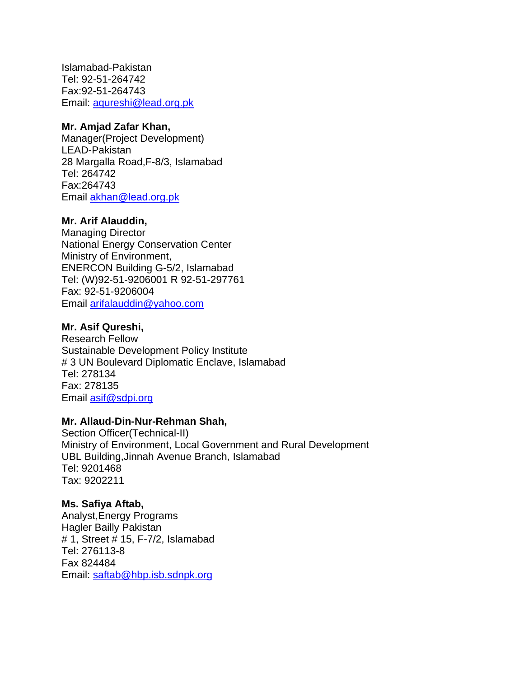Islamabad-Pakistan Tel: 92-51-264742 Fax:92-51-264743 Email: aqureshi@lead.org.pk

## **Mr. Amjad Zafar Khan,**

Manager(Project Development) LEAD-Pakistan 28 Margalla Road,F-8/3, Islamabad Tel: 264742 Fax:264743 Email akhan@lead.org.pk

# **Mr. Arif Alauddin,**

Managing Director National Energy Conservation Center Ministry of Environment, ENERCON Building G-5/2, Islamabad Tel: (W)92-51-9206001 R 92-51-297761 Fax: 92-51-9206004 Email arifalauddin@yahoo.com

# **Mr. Asif Qureshi,**

Research Fellow Sustainable Development Policy Institute # 3 UN Boulevard Diplomatic Enclave, Islamabad Tel: 278134 Fax: 278135 Email asif@sdpi.org

# **Mr. Allaud-Din-Nur-Rehman Shah,**

Section Officer(Technical-II) Ministry of Environment, Local Government and Rural Development UBL Building,Jinnah Avenue Branch, Islamabad Tel: 9201468 Tax: 9202211

# **Ms. Safiya Aftab,**

Analyst,Energy Programs Hagler Bailly Pakistan # 1, Street # 15, F-7/2, Islamabad Tel: 276113-8 Fax 824484 Email: saftab@hbp.isb.sdnpk.org